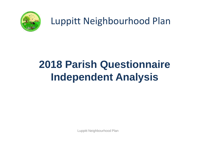

### Luppitt Neighbourhood Plan

# **2018 Parish Questionnaire Independent Analysis**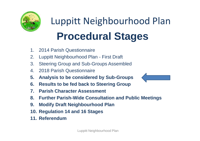

Luppitt Neighbourhood Plan **Procedural Stages**

- 1. 2014 Parish Questionnaire
- 2. Luppitt Neighbourhood Plan First Draft
- 3. Steering Group and Sub-Groups Assembled
- 4. 2018 Parish Questionnaire
- **5. Analysis to be considered by Sub-Groups**
- **6. Results to be fed back to Steering Group**
- **7. Parish Character Assessment**
- **8. Further Parish-Wide Consultation and Public Meetings**
- **9. Modify Draft Neighbourhood Plan**
- **10. Regulation 14 and 16 Stages**
- **11. Referendum**

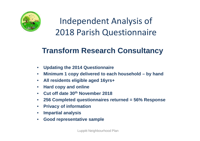

Independent Analysis of 2018 Parish Questionnaire

### **Transform Research Consultancy**

- **Updating the 2014 Questionnaire**
- **Minimum 1 copy delivered to each household – by hand**
- **All residents eligible aged 16yrs+**
- **Hard copy and online**
- **Cut off date 30th November 2018**
- **256 Completed questionnaires returned = 56% Response**
- **Privacy of information**
- **Impartial analysis**
- **Good representative sample**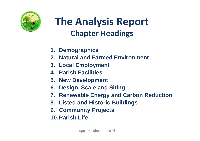

### **The Analysis Report Chapter Headings**

- **1. Demographics**
- **2. Natural and Farmed Environment**
- **3. Local Employment**
- **4. Parish Facilities**
- **5. New Development**
- **6. Design, Scale and Siting**
- **7. Renewable Energy and Carbon Reduction**
- **8. Listed and Historic Buildings**
- **9. Community Projects**
- **10.Parish Life**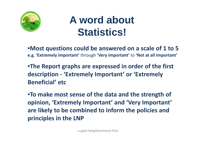

### **A word about Statistics!**

•**Most questions could be answered on a scale of 1 to 5 e.g. 'Extremely Important'** through **'Very important'** to **'Not at all Important'**

•**The Report graphs are expressed in order of the first description - 'Extremely Important' or 'Extremely Beneficial' etc**

•**To make most sense of the data and the strength of opinion, 'Extremely Important' and 'Very Important' are likely to be combined to inform the policies and principles in the LNP**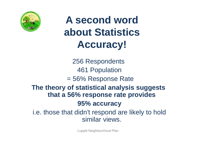

### **A second word about Statistics Accuracy!**

256 Respondents 461 Population = 56% Response Rate **The theory of statistical analysis suggests that a 56% response rate provides 95% accuracy** i.e. those that didn't respond are likely to hold similar views.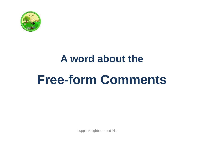

# **A word about the Free-form Comments**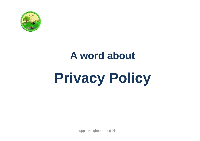

### **A word about**

# **Privacy Policy**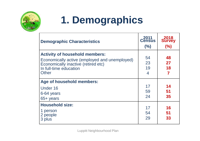

# **1. Demographics**

| <b>Demographic Characteristics</b>                                                                                                                                      | 2011<br>Census<br>(%)            | 2018<br>Survey<br>(%) |
|-------------------------------------------------------------------------------------------------------------------------------------------------------------------------|----------------------------------|-----------------------|
| <b>Activity of household members:</b><br>Economically active (employed and unemployed)<br>Economically inactive (retired etc)<br>In full-time education<br><b>Other</b> | 54<br>23<br>19<br>$\overline{4}$ | 48<br>27<br>18<br>7   |
| Age of household members:<br>Under 16<br>6-64 years<br>$65 +$ years                                                                                                     | 17<br>59<br>24                   | 14<br>51<br>35        |
| <b>Household size:</b><br>1 person<br>2 people<br>3 plus                                                                                                                | 17<br>54<br>29                   | 16<br>51<br>33        |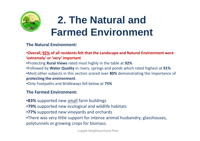

## **2. The Natural and Farmed Environment**

#### **The Natural Environment:**

#### •**Overall, 92% of all residents felt that the Landscape and Natural Environment were 'extremely' or 'very' important**

•Protecting **Rural Views** rated most highly in the table at **92%**

•Followed by **Water Quality** in rivers, springs and ponds which rated highest at **91%** •Most other subjects in this section scored over **80%** demonstrating the importance of **protecting the environment**.

•Only Footpaths and Bridleways fell below at **75%**

#### **The Farmed Environment:**

•**83%** supported new small farm buildings

- •**79%** supported new ecological and wildlife habitats
- •**77%** supported new vineyards and orchards

•There was very little support for intense animal husbandry; glasshouses, polytunnels or growing crops for biomass.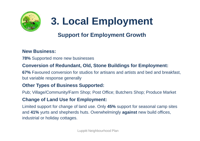

# **3. Local Employment**

### **Support for Employment Growth**

#### **New Business:**

**78%** Supported more new businesses

#### **Conversion of Redundant, Old, Stone Buildings for Employment:**

**67%** Favoured conversion for studios for artisans and artists and bed and breakfast, but variable response generally

#### **Other Types of Business Supported:**

Pub; Village/Community/Farm Shop; Post Office; Butchers Shop; Produce Market

#### **Change of Land Use for Employment:**

Limited support for change of land use. Only **45%** support for seasonal camp sites and **41%** yurts and shepherds huts. Overwhelmingly **against** new build offices, industrial or holiday cottages.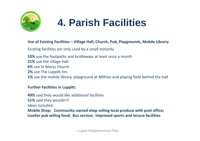

### **4. Parish Facilities**

#### **Use of Existing Facilities – Village Hall, Church, Pub, Playgrounds, Mobile Library:**

Existing facilities are only used by a small minority

**53%** use the footpaths and bridleways at least once a month **21%** use the village Hall **6%** use St Marys Church **2%** use The Luppitt Inn **1%** use the mobile library, playground at Millrise and playing field behind the hall

#### **Further Facilities in Luppitt:**

**49%** said they would like additional facilities **51%** said they wouldn't! Ideas included: **Mobile Shop; Community owned shop selling local produce with post office; Livelier pub selling food; Bus service; Improved sports and leisure facilities**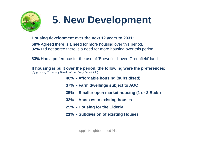

## **5. New Development**

#### **Housing development over the next 12 years to 2031:**

**68%** Agreed there is a need for more housing over this period. **32%** Did not agree there is a need for more housing over this period

**83%** Had a preference for the use of 'Brownfield' over 'Greenfield' land

**If housing is built over the period, the following were the preferences:** (By grouping 'Extremely Beneficial' and 'Very Beneficial' )

- **48% - Affordable housing (subsidised)**
- **37% - Farm dwellings subject to AOC**
- **35% - Smaller open market housing (1 or 2 Beds)**
- **33% - Annexes to existing houses**
- **29% - Housing for the Elderly**
- **21% - Subdivision of existing Houses**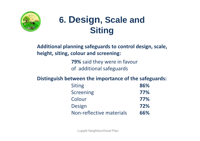

### **6. Design, Scale and Siting**

**Additional planning safeguards to control design, scale, height, siting, colour and screening:**

> **79%** said they were in favour of additional safeguards

**Distinguish between the importance of the safeguards:**

| <b>Siting</b>            | 86% |
|--------------------------|-----|
| <b>Screening</b>         | 77% |
| Colour                   | 77% |
| <b>Design</b>            | 72% |
| Non-reflective materials | 66% |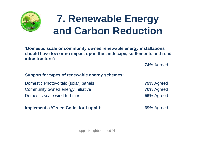

### **7. Renewable Energy and Carbon Reduction**

**'Domestic scale or community owned renewable energy installations should have low or no impact upon the landscape, settlements and road infrastructure':**

**74%** Agreed

#### **Support for types of renewable energy schemes:**

Domestic Photovoltaic (solar) panels **79%** Agreed Community owned energy initiative **70%** Agreed **Domestic scale wind turbines 56%** Agreed

**Implement a 'Green Code' for Luppitt: 69%** Agreed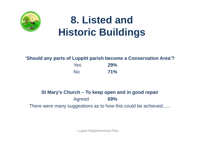

### **8. Listed and Historic Buildings**

#### **'Should any parts of Luppitt parish become a Conservation Area'?**

| <b>Yes</b>     | <b>29%</b> |
|----------------|------------|
| N <sub>o</sub> | 71%        |

### **St Mary's Church – To keep open and in good repair** Agreed **69%** There were many suggestions as to how this could be achieved......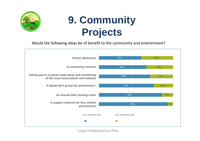

## **9. Community Projects**

#### Would the following ideas be of benefit to the community and environment?

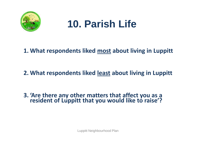

### **10. Parish Life**

### **1. What respondents liked most about living in Luppitt**

### **2. What respondents liked least about living in Luppitt**

#### **3. 'Are there any other matters that affect you as a resident of Luppitt that you would like to raise'?**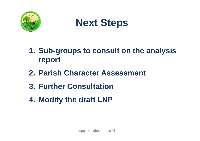

### **Next Steps**

- **1. Sub-groups to consult on the analysis report**
- **2. Parish Character Assessment**
- **3. Further Consultation**
- **4. Modify the draft LNP**